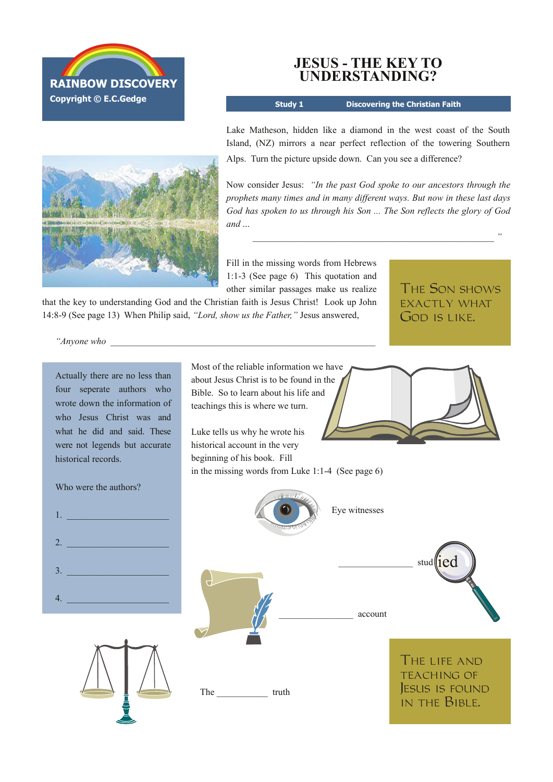



**Study 1 Discovering the Christian Faith**

Lake Matheson, hidden like a diamond in the west coast of the South Island, (NZ) mirrors a near perfect reflection of the towering Southern Alps. Turn the picture upside down. Can you see a difference?

Now consider Jesus: *"In the past God spoke to our ancestors through the prophets many times and in many different ways. But now in these last days God has spoken to us through his Son ... The Son reflects the glory of God and* ...

 $\mathcal{L}$ 

Fill in the missing words from Hebrews 1:13 (See page 6) This quotation and other similar passages make us realize

that the key to understanding God and the Christian faith is Jesus Christ! Look up John 14:89 (See page 13) When Philip said, *"Lord, show us the Father,"* Jesus answered,

The Son shows exactly what GOD IS LIKE.

*"Anyone who* \_\_\_\_\_\_\_\_\_\_\_\_\_\_\_\_\_\_\_\_\_\_\_\_\_\_\_\_\_\_\_\_\_\_\_\_\_\_\_\_\_\_\_\_\_\_\_\_\_\_\_\_\_\_\_\_\_

Most of the reliable information we have about Jesus Christ is to be found in the Bible. So to learn about his life and teachings this is where we turn. Luke tells us why he wrote his historical account in the very beginning of his book. Fill in the missing words from Luke  $1:1-4$  (See page 6) Eye witnesses stud  $\parallel$ 1 $\text{e}$ d \_\_\_\_\_\_\_\_\_\_\_\_\_\_\_\_ account The truth Actually there are no less than four seperate authors who wrote down the information of who Jesus Christ was and what he did and said. These were not legends but accurate historical records. Who were the authors?  $1.$  $2.$  $3.$  $4.$ The life and TEACHING OF Jesus is found in the Bible.